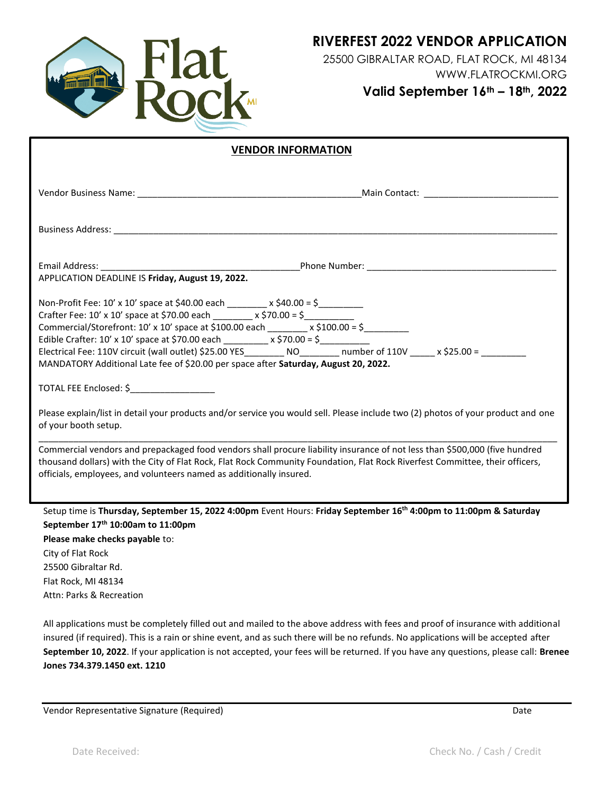

**RIVERFEST 2022 VENDOR APPLICATION**

25500 GIBRALTAR ROAD, FLAT ROCK, MI 48134 WWW.FLATROCKMI.ORG **Valid September 16th – 18th, 2022** 

| <b>VENDOR INFORMATION</b>                                                                                                                                                                                                                                                                                                                                                                                                                                                                                                                                                                                                                                                                                                                         |  |
|---------------------------------------------------------------------------------------------------------------------------------------------------------------------------------------------------------------------------------------------------------------------------------------------------------------------------------------------------------------------------------------------------------------------------------------------------------------------------------------------------------------------------------------------------------------------------------------------------------------------------------------------------------------------------------------------------------------------------------------------------|--|
| Main Contact: ________________                                                                                                                                                                                                                                                                                                                                                                                                                                                                                                                                                                                                                                                                                                                    |  |
|                                                                                                                                                                                                                                                                                                                                                                                                                                                                                                                                                                                                                                                                                                                                                   |  |
| APPLICATION DEADLINE IS Friday, August 19, 2022.                                                                                                                                                                                                                                                                                                                                                                                                                                                                                                                                                                                                                                                                                                  |  |
|                                                                                                                                                                                                                                                                                                                                                                                                                                                                                                                                                                                                                                                                                                                                                   |  |
| Non-Profit Fee: 10' x 10' space at \$40.00 each _______ x \$40.00 = \$_________<br>Crafter Fee: $10'$ x $10'$ space at \$70.00 each ______ x \$70.00 = \$_________<br>Commercial/Storefront: 10' x 10' space at \$100.00 each ________ x \$100.00 = \$_________<br>Edible Crafter: 10' x 10' space at \$70.00 each $\frac{1}{2}$ x \$70.00 = \$<br>Electrical Fee: 110V circuit (wall outlet) \$25.00 YES________ NO_______ number of 110V _____ x \$25.00 = _______<br>MANDATORY Additional Late fee of \$20.00 per space after Saturday, August 20, 2022.<br>TOTAL FEE Enclosed: \$<br>Please explain/list in detail your products and/or service you would sell. Please include two (2) photos of your product and one<br>of your booth setup. |  |
| Commercial vendors and prepackaged food vendors shall procure liability insurance of not less than \$500,000 (five hundred<br>thousand dollars) with the City of Flat Rock, Flat Rock Community Foundation, Flat Rock Riverfest Committee, their officers,<br>officials, employees, and volunteers named as additionally insured.                                                                                                                                                                                                                                                                                                                                                                                                                 |  |
| Setup time is Thursday, September 15, 2022 4:00pm Event Hours: Friday September 16 <sup>th</sup> 4:00pm to 11:00pm & Saturday<br>September 17th 10:00am to 11:00pm<br>Please make checks payable to:<br>City of Flat Rock<br>25500 Gibraltar Rd.                                                                                                                                                                                                                                                                                                                                                                                                                                                                                                  |  |
| Flat Rock, MI 48134                                                                                                                                                                                                                                                                                                                                                                                                                                                                                                                                                                                                                                                                                                                               |  |

All applications must be completely filled out and mailed to the above address with fees and proof of insurance with additional insured (if required). This is a rain or shine event, and as such there will be no refunds. No applications will be accepted after **September 10, 2022**. If your application is not accepted, your fees will be returned. If you have any questions, please call: **Brenee Jones 734.379.1450 ext. 1210**

Vendor Representative Signature (Required) and the control of the control of the control of the Date

Attn: Parks & Recreation